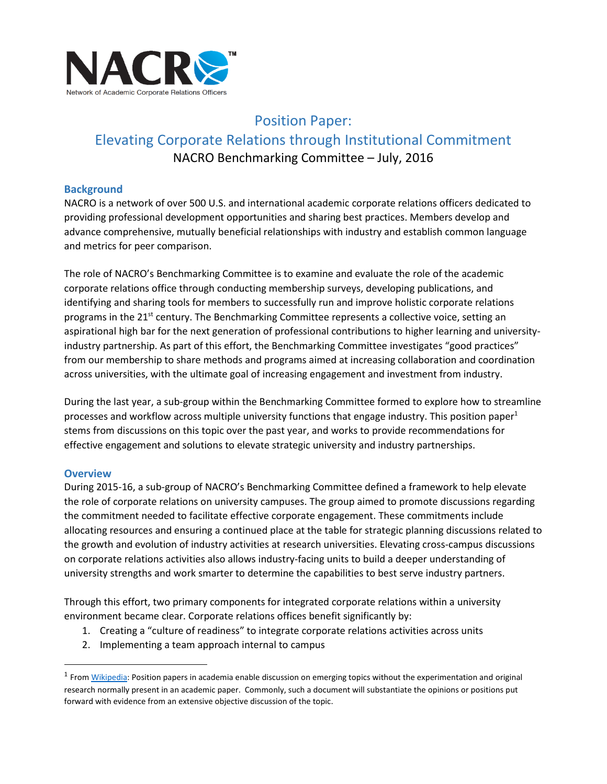

# Position Paper: Elevating Corporate Relations through Institutional Commitment NACRO Benchmarking Committee – July, 2016

#### **Background**

NACRO is a network of over 500 U.S. and international academic corporate relations officers dedicated to providing professional development opportunities and sharing best practices. Members develop and advance comprehensive, mutually beneficial relationships with industry and establish common language and metrics for peer comparison.

The role of NACRO's Benchmarking Committee is to examine and evaluate the role of the academic corporate relations office through conducting membership surveys, developing publications, and identifying and sharing tools for members to successfully run and improve holistic corporate relations programs in the 21<sup>st</sup> century. The Benchmarking Committee represents a collective voice, setting an aspirational high bar for the next generation of professional contributions to higher learning and universityindustry partnership. As part of this effort, the Benchmarking Committee investigates "good practices" from our membership to share methods and programs aimed at increasing collaboration and coordination across universities, with the ultimate goal of increasing engagement and investment from industry.

During the last year, a sub-group within the Benchmarking Committee formed to explore how to streamline processes and workflow across multiple university functions that engage industry. This position paper<sup>1</sup> stems from discussions on this topic over the past year, and works to provide recommendations for effective engagement and solutions to elevate strategic university and industry partnerships.

#### **Overview**

 $\ddot{\phantom{a}}$ 

During 2015-16, a sub-group of NACRO's Benchmarking Committee defined a framework to help elevate the role of corporate relations on university campuses. The group aimed to promote discussions regarding the commitment needed to facilitate effective corporate engagement. These commitments include allocating resources and ensuring a continued place at the table for strategic planning discussions related to the growth and evolution of industry activities at research universities. Elevating cross-campus discussions on corporate relations activities also allows industry-facing units to build a deeper understanding of university strengths and work smarter to determine the capabilities to best serve industry partners.

Through this effort, two primary components for integrated corporate relations within a university environment became clear. Corporate relations offices benefit significantly by:

- 1. Creating a "culture of readiness" to integrate corporate relations activities across units
- 2. Implementing a team approach internal to campus

<sup>&</sup>lt;sup>1</sup> From <u>Wikipedia</u>: Position papers in academia enable discussion on emerging topics without the experimentation and original research normally present in an academic paper. Commonly, such a document will substantiate the opinions or positions put forward with evidence from an extensive objective discussion of the topic.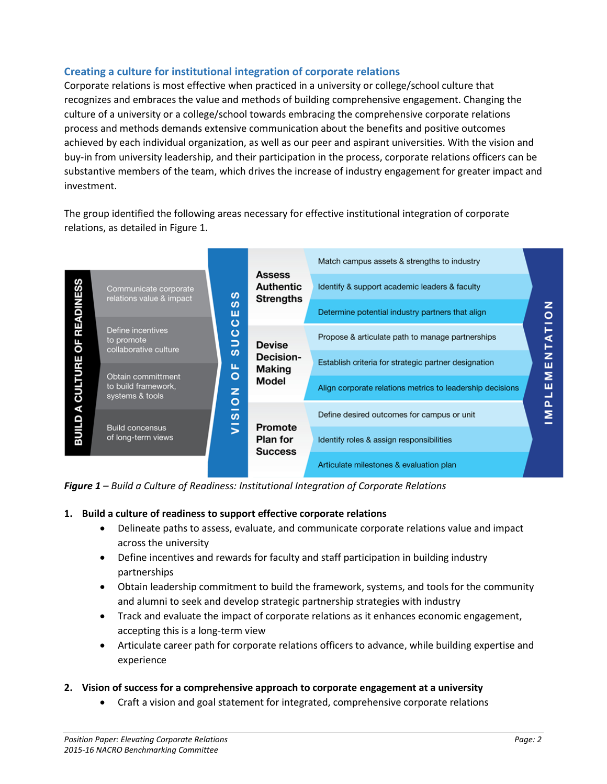# **Creating a culture for institutional integration of corporate relations**

Corporate relations is most effective when practiced in a university or college/school culture that recognizes and embraces the value and methods of building comprehensive engagement. Changing the culture of a university or a college/school towards embracing the comprehensive corporate relations process and methods demands extensive communication about the benefits and positive outcomes achieved by each individual organization, as well as our peer and aspirant universities. With the vision and buy-in from university leadership, and their participation in the process, corporate relations officers can be substantive members of the team, which drives the increase of industry engagement for greater impact and investment.

The group identified the following areas necessary for effective institutional integration of corporate relations, as detailed in Figure 1.



*Figure 1 – Build a Culture of Readiness: Institutional Integration of Corporate Relations*

#### **1. Build a culture of readiness to support effective corporate relations**

- Delineate paths to assess, evaluate, and communicate corporate relations value and impact across the university
- Define incentives and rewards for faculty and staff participation in building industry partnerships
- Obtain leadership commitment to build the framework, systems, and tools for the community and alumni to seek and develop strategic partnership strategies with industry
- Track and evaluate the impact of corporate relations as it enhances economic engagement, accepting this is a long-term view
- Articulate career path for corporate relations officers to advance, while building expertise and experience

#### **2. Vision of success for a comprehensive approach to corporate engagement at a university**

Craft a vision and goal statement for integrated, comprehensive corporate relations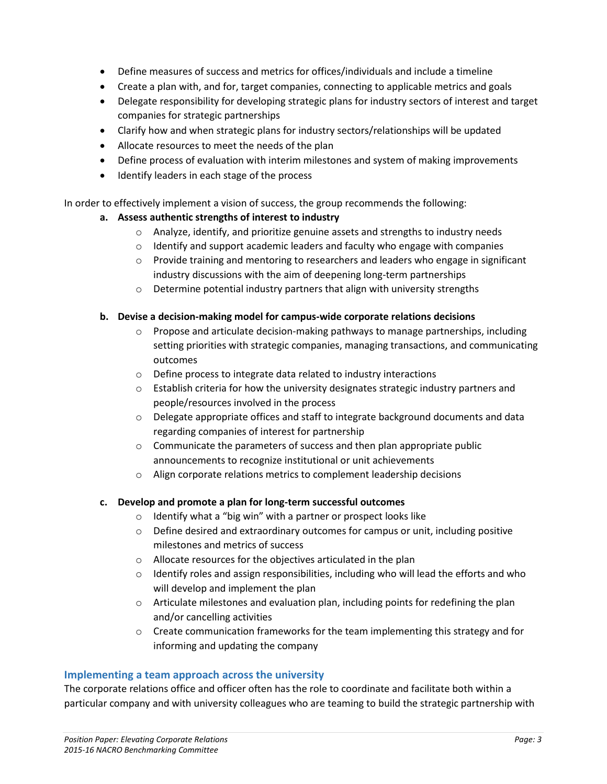- Define measures of success and metrics for offices/individuals and include a timeline
- Create a plan with, and for, target companies, connecting to applicable metrics and goals
- Delegate responsibility for developing strategic plans for industry sectors of interest and target companies for strategic partnerships
- Clarify how and when strategic plans for industry sectors/relationships will be updated
- Allocate resources to meet the needs of the plan
- Define process of evaluation with interim milestones and system of making improvements
- Identify leaders in each stage of the process

In order to effectively implement a vision of success, the group recommends the following:

## **a. Assess authentic strengths of interest to industry**

- $\circ$  Analyze, identify, and prioritize genuine assets and strengths to industry needs
- $\circ$  Identify and support academic leaders and faculty who engage with companies
- $\circ$  Provide training and mentoring to researchers and leaders who engage in significant industry discussions with the aim of deepening long-term partnerships
- o Determine potential industry partners that align with university strengths

## **b. Devise a decision-making model for campus-wide corporate relations decisions**

- $\circ$  Propose and articulate decision-making pathways to manage partnerships, including setting priorities with strategic companies, managing transactions, and communicating outcomes
- o Define process to integrate data related to industry interactions
- $\circ$  Establish criteria for how the university designates strategic industry partners and people/resources involved in the process
- $\circ$  Delegate appropriate offices and staff to integrate background documents and data regarding companies of interest for partnership
- o Communicate the parameters of success and then plan appropriate public announcements to recognize institutional or unit achievements
- o Align corporate relations metrics to complement leadership decisions

## **c. Develop and promote a plan for long-term successful outcomes**

- o Identify what a "big win" with a partner or prospect looks like
- $\circ$  Define desired and extraordinary outcomes for campus or unit, including positive milestones and metrics of success
- o Allocate resources for the objectives articulated in the plan
- $\circ$  Identify roles and assign responsibilities, including who will lead the efforts and who will develop and implement the plan
- $\circ$  Articulate milestones and evaluation plan, including points for redefining the plan and/or cancelling activities
- o Create communication frameworks for the team implementing this strategy and for informing and updating the company

## **Implementing a team approach across the university**

The corporate relations office and officer often has the role to coordinate and facilitate both within a particular company and with university colleagues who are teaming to build the strategic partnership with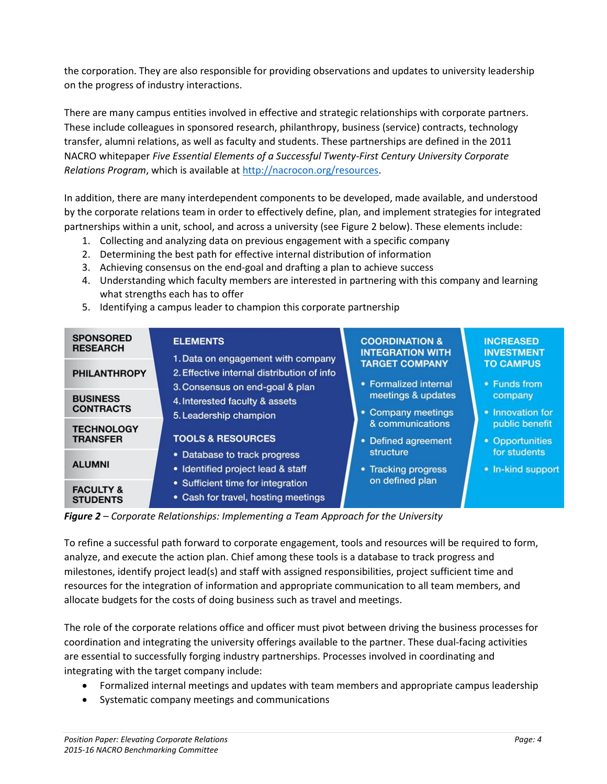the corporation. They are also responsible for providing observations and updates to university leadership on the progress of industry interactions.

There are many campus entities involved in effective and strategic relationships with corporate partners. These include colleagues in sponsored research, philanthropy, business (service) contracts, technology transfer, alumni relations, as well as faculty and students. These partnerships are defined in the 2011 NACRO whitepaper *Five Essential Elements of a Successful Twenty-First Century University Corporate Relations Program*, which is available a[t http://nacrocon.org/resources.](http://nacrocon.org/resources)

In addition, there are many interdependent components to be developed, made available, and understood by the corporate relations team in order to effectively define, plan, and implement strategies for integrated partnerships within a unit, school, and across a university (see Figure 2 below). These elements include:

- 1. Collecting and analyzing data on previous engagement with a specific company
- 2. Determining the best path for effective internal distribution of information
- 3. Achieving consensus on the end-goal and drafting a plan to achieve success
- 4. Understanding which faculty members are interested in partnering with this company and learning what strengths each has to offer
- 5. Identifying a campus leader to champion this corporate partnership

| <b>SPONSORED</b><br><b>RESEARCH</b>     | <b>ELEMENTS</b><br>1. Data on engagement with company<br>2. Effective internal distribution of info<br>3. Consensus on end-goal & plan<br>4. Interested faculty & assets<br>5. Leadership champion<br><b>TOOLS &amp; RESOURCES</b><br>• Database to track progress<br>• Identified project lead & staff | <b>COORDINATION &amp;</b><br><b>INTEGRATION WITH</b><br><b>TARGET COMPANY</b><br>• Formalized internal<br>meetings & updates<br>• Company meetings<br>& communications<br>• Defined agreement<br>structure<br>• Tracking progress | <b>INCREASED</b><br><b>INVESTMENT</b><br><b>TO CAMPUS</b><br>• Funds from<br>company<br>• Innovation for<br>public benefit<br>• Opportunities<br>for students<br>• In-kind suppor |
|-----------------------------------------|---------------------------------------------------------------------------------------------------------------------------------------------------------------------------------------------------------------------------------------------------------------------------------------------------------|-----------------------------------------------------------------------------------------------------------------------------------------------------------------------------------------------------------------------------------|-----------------------------------------------------------------------------------------------------------------------------------------------------------------------------------|
| <b>PHILANTHROPY</b>                     |                                                                                                                                                                                                                                                                                                         |                                                                                                                                                                                                                                   |                                                                                                                                                                                   |
| <b>BUSINESS</b><br><b>CONTRACTS</b>     |                                                                                                                                                                                                                                                                                                         |                                                                                                                                                                                                                                   |                                                                                                                                                                                   |
| <b>TECHNOLOGY</b><br><b>TRANSFER</b>    |                                                                                                                                                                                                                                                                                                         |                                                                                                                                                                                                                                   |                                                                                                                                                                                   |
| <b>ALUMNI</b>                           |                                                                                                                                                                                                                                                                                                         |                                                                                                                                                                                                                                   |                                                                                                                                                                                   |
| <b>FACULTY &amp;</b><br><b>STUDENTS</b> | • Sufficient time for integration<br>• Cash for travel, hosting meetings                                                                                                                                                                                                                                | on defined plan                                                                                                                                                                                                                   |                                                                                                                                                                                   |

*Figure 2 – Corporate Relationships: Implementing a Team Approach for the University*

To refine a successful path forward to corporate engagement, tools and resources will be required to form, analyze, and execute the action plan. Chief among these tools is a database to track progress and milestones, identify project lead(s) and staff with assigned responsibilities, project sufficient time and resources for the integration of information and appropriate communication to all team members, and allocate budgets for the costs of doing business such as travel and meetings.

The role of the corporate relations office and officer must pivot between driving the business processes for coordination and integrating the university offerings available to the partner. These dual-facing activities are essential to successfully forging industry partnerships. Processes involved in coordinating and integrating with the target company include:

- Formalized internal meetings and updates with team members and appropriate campus leadership
- Systematic company meetings and communications